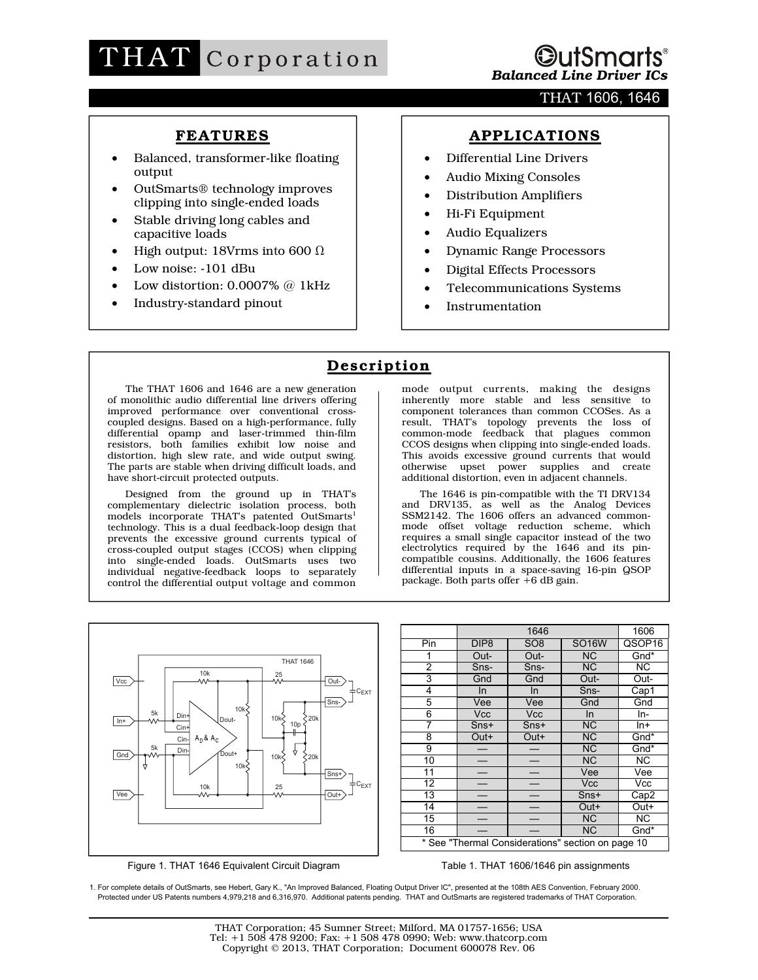

### THAT 1606, 1646

## **FEATURES**

- Balanced, transformer-like floating output
- OutSmarts® technology improves clipping into single-ended loads
- Stable driving long cables and capacitive loads
- High output: 18Vrms into 600  $\Omega$
- Low noise: -101 dBu
- Low distortion:  $0.0007\%$  @ 1kHz
- Industry-standard pinout

## **APPLICATIONS**

- Differential Line Drivers
- Audio Mixing Consoles
- Distribution Amplifiers
- Hi-Fi Equipment
- Audio Equalizers
- Dynamic Range Processors
- Digital Effects Processors
- Telecommunications Systems
- **Instrumentation**

## **Description**

The THAT 1606 and 1646 are a new generation of monolithic audio differential line drivers offering improved performance over conventional crosscoupled designs. Based on a high-performance, fully differential opamp and laser-trimmed thin-film resistors, both families exhibit low noise and distortion, high slew rate, and wide output swing. The parts are stable when driving difficult loads, and have short-circuit protected outputs.

Designed from the ground up in THAT's complementary dielectric isolation process, both models incorporate THAT's patented OutSmarts<sup>1</sup> technology. This is a dual feedback-loop design that prevents the excessive ground currents typical of cross-coupled output stages (CCOS) when clipping into single-ended loads. OutSmarts uses two individual negative-feedback loops to separately control the differential output voltage and common

mode output currents, making the designs inherently more stable and less sensitive to component tolerances than common CCOSes. As a result, THAT's topology prevents the loss of common-mode feedback that plagues common CCOS designs when clipping into single-ended loads. This avoids excessive ground currents that would otherwise upset power supplies and create additional distortion, even in adjacent channels.

The 1646 is pin-compatible with the TI DRV134 and DRV135, as well as the Analog Devices SSM2142. The 1606 offers an advanced commonmode offset voltage reduction scheme, which requires a small single capacitor instead of the two electrolytics required by the 1646 and its pincompatible cousins. Additionally, the 1606 features differential inputs in a space-saving 16-pin QSOP package. Both parts offer +6 dB gain.



Figure 1. THAT 1646 Equivalent Circuit Diagram

1646 1606 Pin DIP8 SO8 SO16W QSOP16 1 Out- Out- NC Gnd\* 2 | Sns- | Sns- | NC | NC 3 Gnd Gnd Out- Out-4 In In Sns- Cap1 5 | Vee | Vee | Gnd | Gnd 6 | Vcc | Vcc | In | In-7 Sns+ Sns+ NC In+ 8 Out+ Out+ NC Gnd\* 9 | — | — | NC | Gnd\* 10 | — | — | NC | NC 11 | — | — | Vee | Vee 12 | — | — | Vcc | Vcc 13 - - Sns+ Cap2<br>14 - - Out+ Out+ 14 | — | — | Out+ | Out+ 15 | — | — | NC | NC 16 | — | — | NC | Gnd\* \* See "Thermal Considerations" section on page 10

Table 1. THAT 1606/1646 pin assignments

1. For complete details of OutSmarts, see Hebert, Gary K., "An Improved Balanced, Floating Output Driver IC", presented at the 108th AES Convention, February 2000. Protected under US Patents numbers 4,979,218 and 6,316,970. Additional patents pending. THAT and OutSmarts are registered trademarks of THAT Corporation.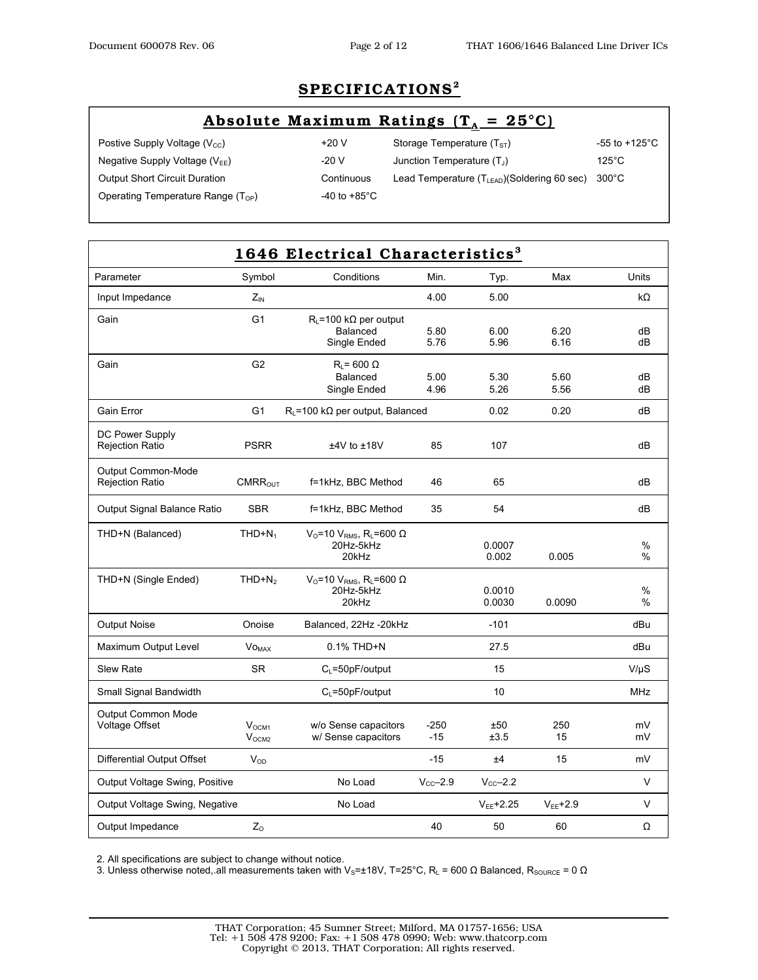# **SPECIFICATIONS2**

## Absolute Maximum Ratings  $(T_A = 25^{\circ}C)$

 $\overline{\phantom{a}}$ 

Postive Supply Voltage (V<sub>CC</sub>)  $+20 \text{ V}$  Storage Temperature (T<sub>ST</sub>) -55 to +125°C Negative Supply Voltage (V<sub>EE</sub>)  $-20$  V Junction Temperature (T<sub>J</sub>) 125°C Output Short Circuit Duration Continuous Lead Temperature (T<sub>LEAD</sub>)(Soldering 60 sec) 300°C

Operating Temperature Range  $(T_{OP})$   $-40$  to +85°C

| 1646 Electrical Characteristics <sup>3</sup> |                                        |                                                                                          |                 |                  |               |              |
|----------------------------------------------|----------------------------------------|------------------------------------------------------------------------------------------|-----------------|------------------|---------------|--------------|
| Parameter                                    | Symbol                                 | Conditions                                                                               | Min.            | Typ.             | Max           | <b>Units</b> |
| Input Impedance                              | $Z_{\text{IN}}$                        |                                                                                          | 4.00            | 5.00             |               | kΩ           |
| Gain                                         | G <sub>1</sub>                         | $R_1 = 100 \text{ k}\Omega$ per output<br>Balanced<br>Single Ended                       | 5.80<br>5.76    | 6.00<br>5.96     | 6.20<br>6.16  | dB<br>dB     |
| Gain                                         | G <sub>2</sub>                         | $R_L$ = 600 $\Omega$<br>Balanced<br>Single Ended                                         | 5.00<br>4.96    | 5.30<br>5.26     | 5.60<br>5.56  | dB<br>dB     |
| Gain Error                                   | G <sub>1</sub>                         | $R_{L}$ =100 k $\Omega$ per output, Balanced                                             |                 | 0.02             | 0.20          | dB           |
| DC Power Supply<br><b>Rejection Ratio</b>    | <b>PSRR</b>                            | $±4V$ to $±18V$                                                                          | 85              | 107              |               | dB           |
| Output Common-Mode<br><b>Rejection Ratio</b> | CMRR <sub>OUT</sub>                    | f=1kHz, BBC Method                                                                       | 46              | 65               |               | dB           |
| Output Signal Balance Ratio                  | <b>SBR</b>                             | f=1kHz, BBC Method                                                                       | 35              | 54               |               | dB           |
| THD+N (Balanced)                             | $THD + N_1$                            | $V_{\rm O}$ =10 $V_{\rm RMS}$ , R <sub>L</sub> =600 $\Omega$<br>20Hz-5kHz<br>20kHz       |                 | 0.0007<br>0.002  | 0.005         | %<br>$\%$    |
| THD+N (Single Ended)                         | $THD + N2$                             | V <sub>0</sub> =10 V <sub>RMS</sub> , R <sub>L</sub> =600 $\Omega$<br>20Hz-5kHz<br>20kHz |                 | 0.0010<br>0.0030 | 0.0090        | $\%$<br>%    |
| <b>Output Noise</b>                          | Onoise                                 | Balanced, 22Hz -20kHz                                                                    |                 | $-101$           |               | dBu          |
| Maximum Output Level                         | <b>VOMAX</b>                           | $0.1\%$ THD+N                                                                            |                 | 27.5             |               | dBu          |
| <b>Slew Rate</b>                             | <b>SR</b>                              | $C1 = 50pF/output$                                                                       |                 | 15               |               | $V/\mu S$    |
| Small Signal Bandwidth                       |                                        | $C_L = 50pF/output$                                                                      |                 | 10               |               | MHz          |
| <b>Output Common Mode</b><br>Voltage Offset  | V <sub>OCM1</sub><br>V <sub>OCM2</sub> | w/o Sense capacitors<br>w/ Sense capacitors                                              | $-250$<br>$-15$ | ±50<br>±3.5      | 250<br>15     | mV<br>mV     |
| Differential Output Offset                   | $V_{OD}$                               |                                                                                          | $-15$           | ±4               | 15            | mV           |
| Output Voltage Swing, Positive               |                                        | No Load                                                                                  | $V_{CC}$ -2.9   | $V_{CC}$ -2.2    |               | V            |
| Output Voltage Swing, Negative               |                                        | No Load                                                                                  |                 | $V_{EE}$ +2.25   | $V_{EE}$ +2.9 | $\vee$       |
| Output Impedance                             | $Z_{\rm O}$                            |                                                                                          | 40              | 50               | 60            | Ω            |

2. All specifications are subject to change without notice.

3. Unless otherwise noted, all measurements taken with V<sub>S</sub>=±18V, T=25°C, R<sub>L</sub> = 600 Ω Balanced, R<sub>SOURCE</sub> = 0 Ω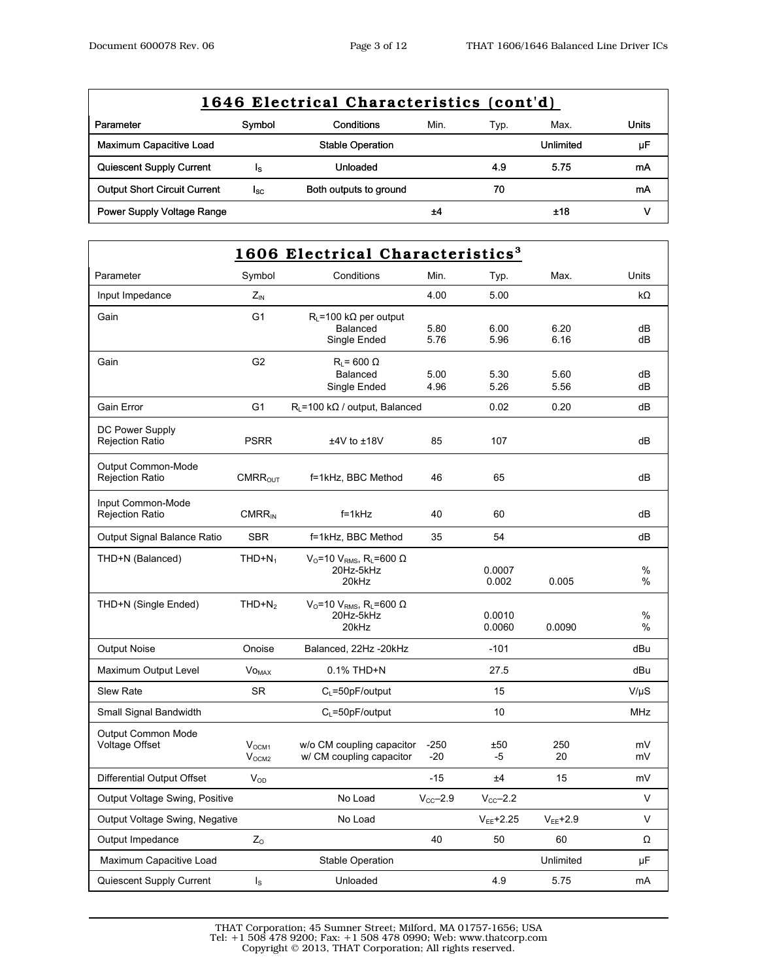| 1646 Electrical Characteristics (cont'd) |        |                         |      |      |           |       |  |
|------------------------------------------|--------|-------------------------|------|------|-----------|-------|--|
| Parameter                                | Symbol | Conditions              | Min. | Typ. | Max.      | Units |  |
| Maximum Capacitive Load                  |        | <b>Stable Operation</b> |      |      | Unlimited | μF    |  |
| Quiescent Supply Current                 | Is     | Unloaded                |      | 4.9  | 5.75      | mA    |  |
| <b>Output Short Circuit Current</b>      | lsc.   | Both outputs to ground  |      | 70   |           | mA    |  |
| Power Supply Voltage Range               |        |                         | ±4   |      | ±18       |       |  |

| 1606 Electrical Characteristics <sup>3</sup>        |                                        |                                                                                          |                 |                  |               |              |
|-----------------------------------------------------|----------------------------------------|------------------------------------------------------------------------------------------|-----------------|------------------|---------------|--------------|
| Parameter                                           | Symbol                                 | Conditions                                                                               | Min.            | Typ.             | Max.          | Units        |
| Input Impedance                                     | $Z_{\text{IN}}$                        |                                                                                          | 4.00            | 5.00             |               | kΩ           |
| Gain                                                | G <sub>1</sub>                         | $R_{I}$ = 100 k $\Omega$ per output<br>Balanced<br>Single Ended                          | 5.80<br>5.76    | 6.00<br>5.96     | 6.20<br>6.16  | dВ<br>dВ     |
| Gain                                                | G <sub>2</sub>                         | $R_1$ = 600 $\Omega$<br>Balanced<br>Single Ended                                         | 5.00<br>4.96    | 5.30<br>5.26     | 5.60<br>5.56  | dВ<br>dВ     |
| Gain Error                                          | G1                                     | $R1$ =100 k $\Omega$ / output, Balanced                                                  |                 | 0.02             | 0.20          | dВ           |
| DC Power Supply<br><b>Rejection Ratio</b>           | <b>PSRR</b>                            | $±4V$ to $±18V$                                                                          | 85              | 107              |               | dB           |
| <b>Output Common-Mode</b><br><b>Rejection Ratio</b> | CMRR <sub>OUT</sub>                    | f=1kHz, BBC Method                                                                       | 46              | 65               |               | dВ           |
| Input Common-Mode<br><b>Rejection Ratio</b>         | $CMRR_{IN}$                            | $f = 1kHz$                                                                               | 40              | 60               |               | dВ           |
| Output Signal Balance Ratio                         | <b>SBR</b>                             | f=1kHz, BBC Method                                                                       | 35              | 54               |               | dB           |
| THD+N (Balanced)                                    | $THD + N_1$                            | $VO=10 VRMS, RL=600 Ω$<br>20Hz-5kHz<br>20kHz                                             |                 | 0.0007<br>0.002  | 0.005         | %<br>%       |
| THD+N (Single Ended)                                | $THD + N2$                             | V <sub>O</sub> =10 V <sub>RMS</sub> , R <sub>L</sub> =600 $\Omega$<br>20Hz-5kHz<br>20kHz |                 | 0.0010<br>0.0060 | 0.0090        | %<br>%       |
| <b>Output Noise</b>                                 | Onoise                                 | Balanced, 22Hz -20kHz                                                                    |                 | $-101$           |               | dBu          |
| Maximum Output Level                                | <b>VO<sub>MAX</sub></b>                | 0.1% THD+N                                                                               |                 | 27.5             |               | dBu          |
| <b>Slew Rate</b>                                    | <b>SR</b>                              | $C_L = 50pF/output$                                                                      |                 | 15               |               | $V/\mu S$    |
| Small Signal Bandwidth                              |                                        | $C_1 = 50p$ F/output                                                                     |                 | 10               |               | MHz          |
| <b>Output Common Mode</b><br>Voltage Offset         | V <sub>OCM1</sub><br>V <sub>OCM2</sub> | w/o CM coupling capacitor<br>w/ CM coupling capacitor                                    | $-250$<br>$-20$ | ±50<br>-5        | 250<br>20     | mV<br>mV     |
| Differential Output Offset                          | $V_{OD}$                               |                                                                                          | -15             | ±4               | 15            | mV           |
| Output Voltage Swing, Positive                      |                                        | No Load                                                                                  | $V_{CC}$ -2.9   | $V_{CC}$ -2.2    |               | V            |
| Output Voltage Swing, Negative                      |                                        | No Load                                                                                  |                 | $V_{EE}$ +2.25   | $V_{EE}$ +2.9 | $\mathsf{V}$ |
| Output Impedance                                    | $Z_{\rm O}$                            |                                                                                          | 40              | 50               | 60            | Ω            |
| Maximum Capacitive Load                             |                                        | Stable Operation                                                                         |                 |                  | Unlimited     | μF           |
| Quiescent Supply Current                            | $\mathsf{I}_\mathsf{S}$                | Unloaded                                                                                 |                 | 4.9              | 5.75          | mA           |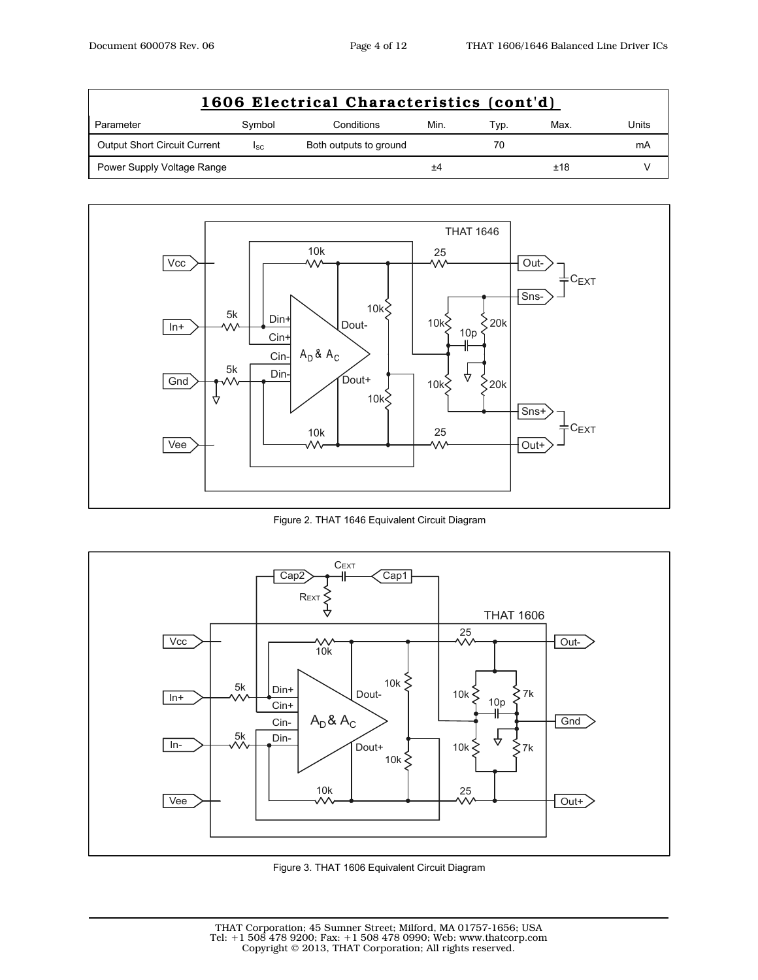| 1606 Electrical Characteristics (cont'd) |                 |                        |      |      |      |       |  |
|------------------------------------------|-----------------|------------------------|------|------|------|-------|--|
| Parameter                                | Symbol          | Conditions             | Min. | Typ. | Max. | Units |  |
| <b>Output Short Circuit Current</b>      | <sup>I</sup> SC | Both outputs to ground |      | 70   |      | mA    |  |
| Power Supply Voltage Range               |                 |                        | ±4   |      | ±18  |       |  |



Figure 2. THAT 1646 Equivalent Circuit Diagram



Figure 3. THAT 1606 Equivalent Circuit Diagram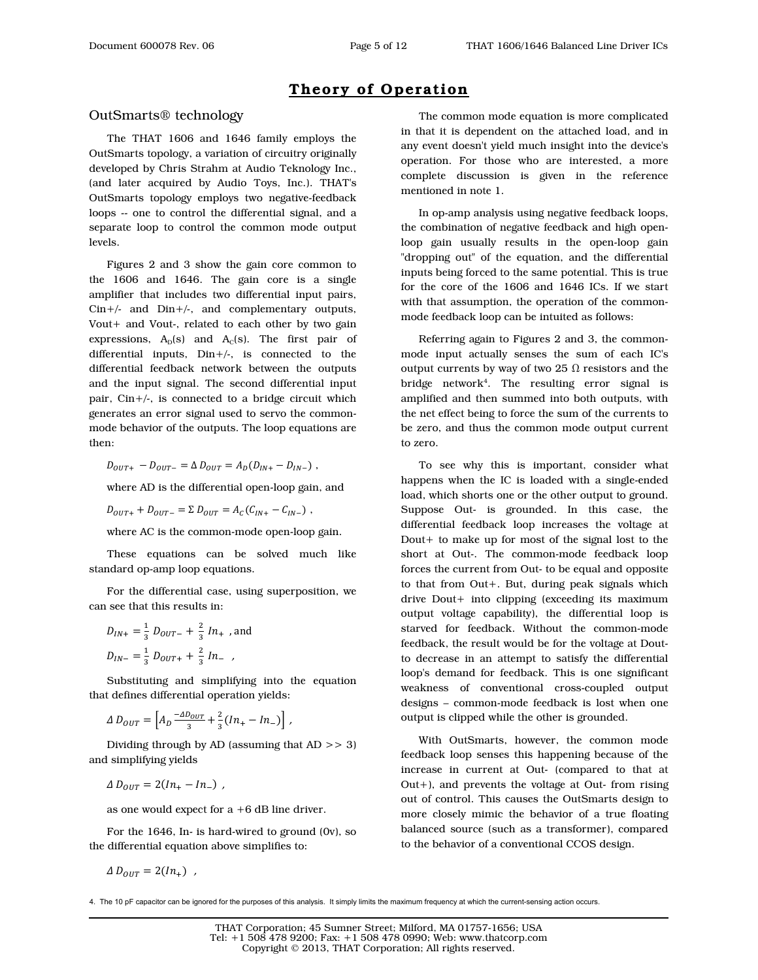### **Theory of Operation**

### OutSmarts® technology

The THAT 1606 and 1646 family employs the OutSmarts topology, a variation of circuitry originally developed by Chris Strahm at Audio Teknology Inc., (and later acquired by Audio Toys, Inc.). THAT's OutSmarts topology employs two negative-feedback loops -- one to control the differential signal, and a separate loop to control the common mode output levels.

Figures 2 and 3 show the gain core common to the 1606 and 1646. The gain core is a single amplifier that includes two differential input pairs, Cin+/- and Din+/-, and complementary outputs, Vout+ and Vout-, related to each other by two gain expressions,  $A_D(s)$  and  $A_C(s)$ . The first pair of differential inputs, Din+/-, is connected to the differential feedback network between the outputs and the input signal. The second differential input pair,  $\text{Cin} + / -$ , is connected to a bridge circuit which generates an error signal used to servo the commonmode behavior of the outputs. The loop equations are then:

 $D_{OUT+} - D_{OUT-} = \Delta D_{OUT} = A_D (D_{IN+} - D_{IN-})$ ,

where AD is the differential open-loop gain, and

$$
D_{OUT+} + D_{OUT-} = \Sigma D_{OUT} = A_C (C_{IN+} - C_{IN-}) \ ,
$$

where AC is the common-mode open-loop gain.

These equations can be solved much like standard op-amp loop equations.

For the differential case, using superposition, we can see that this results in:

$$
D_{IN+} = \frac{1}{3} D_{OUT-} + \frac{2}{3} In_{+} , and
$$
  

$$
D_{IN-} = \frac{1}{3} D_{OUT+} + \frac{2}{3} In_{-} ,
$$

Substituting and simplifying into the equation that defines differential operation yields:

$$
\Delta D_{OUT} = \left[ A_D \frac{-\Delta D_{OUT}}{3} + \frac{2}{3} (In_+ - In_-) \right] ,
$$

Dividing through by AD (assuming that AD >> 3) and simplifying yields

$$
\Delta D_{OUT} = 2(ln_+ - ln_-),
$$

as one would expect for  $a + 6$  dB line driver.

For the 1646, In- is hard-wired to ground (0v), so the differential equation above simplifies to:

$$
\Delta D_{OUT} = 2(In_+),
$$

The common mode equation is more complicated in that it is dependent on the attached load, and in any event doesn't yield much insight into the device's operation. For those who are interested, a more complete discussion is given in the reference mentioned in note 1.

In op-amp analysis using negative feedback loops, the combination of negative feedback and high openloop gain usually results in the open-loop gain "dropping out" of the equation, and the differential inputs being forced to the same potential. This is true for the core of the 1606 and 1646 ICs. If we start with that assumption, the operation of the commonmode feedback loop can be intuited as follows:

Referring again to Figures 2 and 3, the commonmode input actually senses the sum of each IC's output currents by way of two 25  $\Omega$  resistors and the bridge network4 . The resulting error signal is amplified and then summed into both outputs, with the net effect being to force the sum of the currents to be zero, and thus the common mode output current to zero.

To see why this is important, consider what happens when the IC is loaded with a single-ended load, which shorts one or the other output to ground. Suppose Out- is grounded. In this case, the differential feedback loop increases the voltage at Dout+ to make up for most of the signal lost to the short at Out-. The common-mode feedback loop forces the current from Out- to be equal and opposite to that from Out+. But, during peak signals which drive Dout+ into clipping (exceeding its maximum output voltage capability), the differential loop is starved for feedback. Without the common-mode feedback, the result would be for the voltage at Doutto decrease in an attempt to satisfy the differential loop's demand for feedback. This is one significant weakness of conventional cross-coupled output designs – common-mode feedback is lost when one output is clipped while the other is grounded.

With OutSmarts, however, the common mode feedback loop senses this happening because of the increase in current at Out- (compared to that at Out+), and prevents the voltage at Out- from rising out of control. This causes the OutSmarts design to more closely mimic the behavior of a true floating balanced source (such as a transformer), compared to the behavior of a conventional CCOS design.

<sup>4.</sup> The 10 pF capacitor can be ignored for the purposes of this analysis. It simply limits the maximum frequency at which the current-sensing action occurs.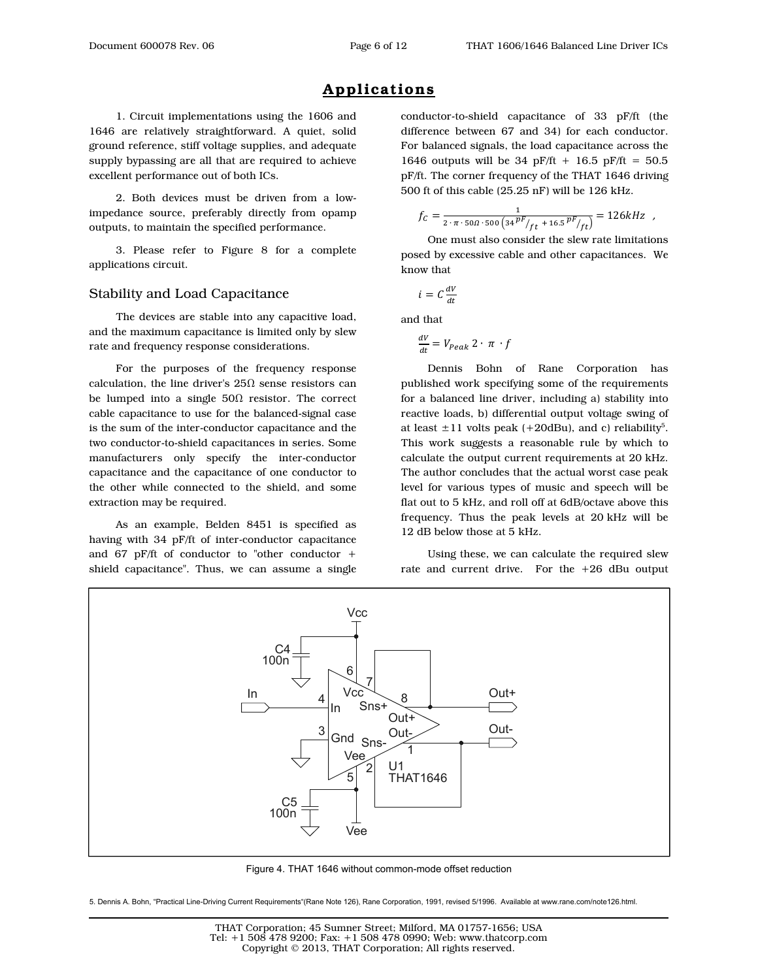## **Applications**

1. Circuit implementations using the 1606 and 1646 are relatively straightforward. A quiet, solid ground reference, stiff voltage supplies, and adequate supply bypassing are all that are required to achieve excellent performance out of both ICs.

2. Both devices must be driven from a lowimpedance source, preferably directly from opamp outputs, to maintain the specified performance.

3. Please refer to Figure 8 for a complete applications circuit.

#### Stability and Load Capacitance

The devices are stable into any capacitive load, and the maximum capacitance is limited only by slew rate and frequency response considerations.

For the purposes of the frequency response calculation, the line driver's  $25\Omega$  sense resistors can be lumped into a single  $50\Omega$  resistor. The correct cable capacitance to use for the balanced-signal case is the sum of the inter-conductor capacitance and the two conductor-to-shield capacitances in series. Some manufacturers only specify the inter-conductor capacitance and the capacitance of one conductor to the other while connected to the shield, and some extraction may be required.

As an example, Belden 8451 is specified as having with 34 pF/ft of inter-conductor capacitance and 67 pF/ft of conductor to "other conductor  $+$ shield capacitance". Thus, we can assume a single conductor-to-shield capacitance of 33 pF/ft (the difference between 67 and 34) for each conductor. For balanced signals, the load capacitance across the 1646 outputs will be 34 pF/ft + 16.5 pF/ft =  $50.5$ pF/ft. The corner frequency of the THAT 1646 driving 500 ft of this cable (25.25 nF) will be 126 kHz.

$$
f_C = \frac{1}{2 \cdot \pi \cdot 500 \cdot 500 \left(34 \frac{pF}{f} + 16.5 \frac{pF}{f}}\right)} = 126kHz
$$

One must also consider the slew rate limitations posed by excessive cable and other capacitances. We know that

$$
i = C \frac{dV}{dt}
$$

and that

$$
\frac{dV}{dt} = V_{Peak} 2 \cdot \pi \cdot f
$$

Dennis Bohn of Rane Corporation has published work specifying some of the requirements for a balanced line driver, including a) stability into reactive loads, b) differential output voltage swing of at least  $\pm 11$  volts peak (+20dBu), and c) reliability<sup>5</sup>. This work suggests a reasonable rule by which to calculate the output current requirements at 20 kHz. The author concludes that the actual worst case peak level for various types of music and speech will be flat out to 5 kHz, and roll off at 6dB/octave above this frequency. Thus the peak levels at 20 kHz will be 12 dB below those at 5 kHz.

Using these, we can calculate the required slew rate and current drive. For the +26 dBu output



Figure 4. THAT 1646 without common-mode offset reduction

5. Dennis A. Bohn, "Practical Line-Driving Current Requirements"(Rane Note 126), Rane Corporation, 1991, revised 5/1996. Available at www.rane.com/note126.html.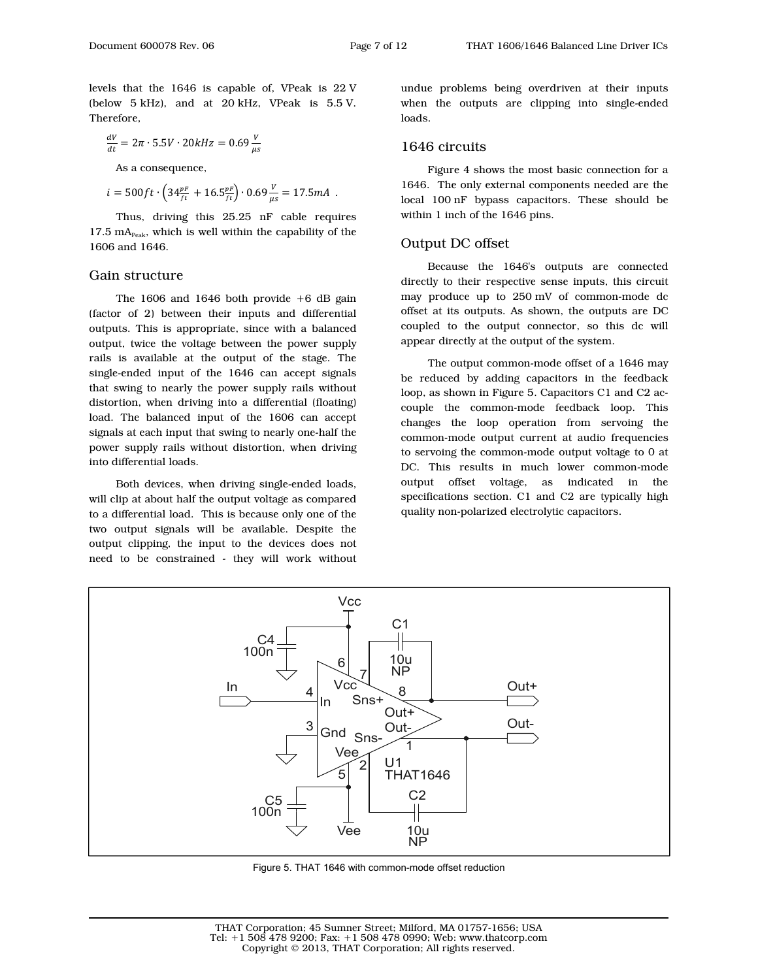levels that the 1646 is capable of, VPeak is 22 V (below 5 kHz), and at 20 kHz, VPeak is 5.5 V. Therefore,

$$
\frac{dV}{dt} = 2\pi \cdot 5.5V \cdot 20kHz = 0.69 \frac{V}{\mu s}
$$

As a consequence,

$$
i = 500 ft \cdot \left(34 \tfrac{pF}{ft} + 16.5 \tfrac{pF}{ft} \right) \cdot 0.69 \tfrac{V}{\mu s} = 17.5 mA \ .
$$

Thus, driving this 25.25 nF cable requires  $17.5 \text{ mA}_{\text{Peak}}$ , which is well within the capability of the 1606 and 1646.

#### Gain structure

The  $1606$  and  $1646$  both provide  $+6$  dB gain (factor of 2) between their inputs and differential outputs. This is appropriate, since with a balanced output, twice the voltage between the power supply rails is available at the output of the stage. The single-ended input of the 1646 can accept signals that swing to nearly the power supply rails without distortion, when driving into a differential (floating) load. The balanced input of the 1606 can accept signals at each input that swing to nearly one-half the power supply rails without distortion, when driving into differential loads.

Both devices, when driving single-ended loads, will clip at about half the output voltage as compared to a differential load. This is because only one of the two output signals will be available. Despite the output clipping, the input to the devices does not need to be constrained - they will work without undue problems being overdriven at their inputs when the outputs are clipping into single-ended loads.

#### 1646 circuits

Figure 4 shows the most basic connection for a 1646. The only external components needed are the local 100 nF bypass capacitors. These should be within 1 inch of the 1646 pins.

#### Output DC offset

Because the 1646's outputs are connected directly to their respective sense inputs, this circuit may produce up to 250 mV of common-mode dc offset at its outputs. As shown, the outputs are DC coupled to the output connector, so this dc will appear directly at the output of the system.

The output common-mode offset of a 1646 may be reduced by adding capacitors in the feedback loop, as shown in Figure 5. Capacitors C1 and C2 accouple the common-mode feedback loop. This changes the loop operation from servoing the common-mode output current at audio frequencies to servoing the common-mode output voltage to 0 at DC. This results in much lower common-mode output offset voltage, as indicated in the specifications section. C1 and C2 are typically high quality non-polarized electrolytic capacitors.



Figure 5. THAT 1646 with common-mode offset reduction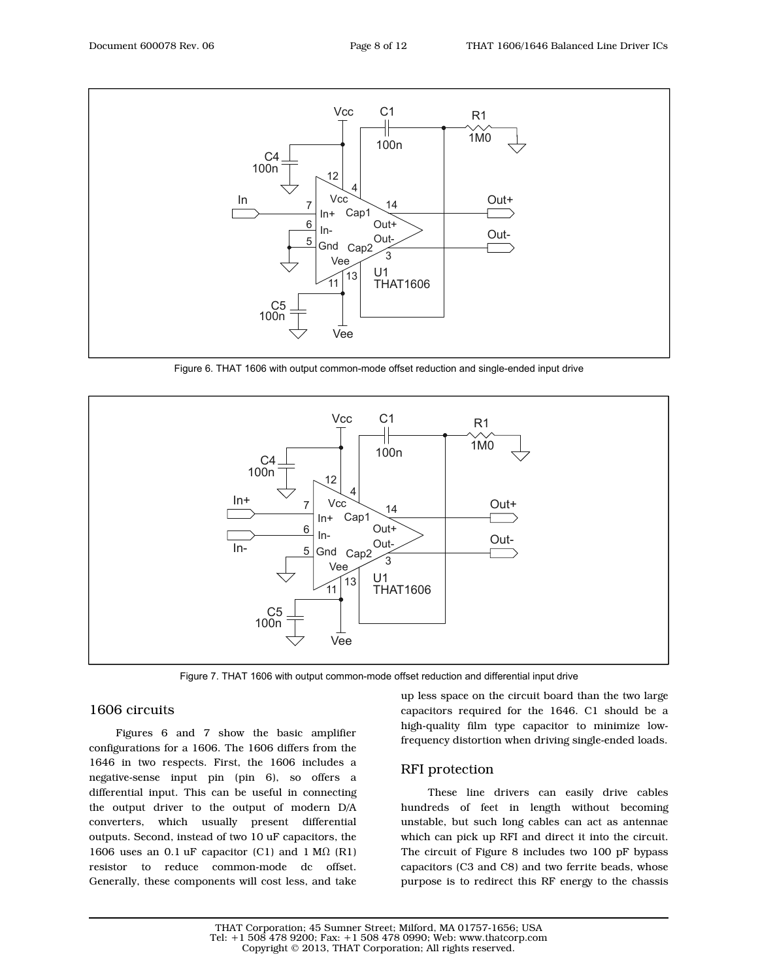

Figure 6. THAT 1606 with output common-mode offset reduction and single-ended input drive



Figure 7. THAT 1606 with output common-mode offset reduction and differential input drive

### 1606 circuits

Figures 6 and 7 show the basic amplifier configurations for a 1606. The 1606 differs from the 1646 in two respects. First, the 1606 includes a negative-sense input pin (pin 6), so offers a differential input. This can be useful in connecting the output driver to the output of modern D/A converters, which usually present differential outputs. Second, instead of two 10 uF capacitors, the 1606 uses an 0.1 uF capacitor (C1) and 1 M $\Omega$  (R1) resistor to reduce common-mode dc offset. Generally, these components will cost less, and take

up less space on the circuit board than the two large capacitors required for the 1646. C1 should be a high-quality film type capacitor to minimize lowfrequency distortion when driving single-ended loads.

### RFI protection

These line drivers can easily drive cables hundreds of feet in length without becoming unstable, but such long cables can act as antennae which can pick up RFI and direct it into the circuit. The circuit of Figure 8 includes two 100 pF bypass capacitors (C3 and C8) and two ferrite beads, whose purpose is to redirect this RF energy to the chassis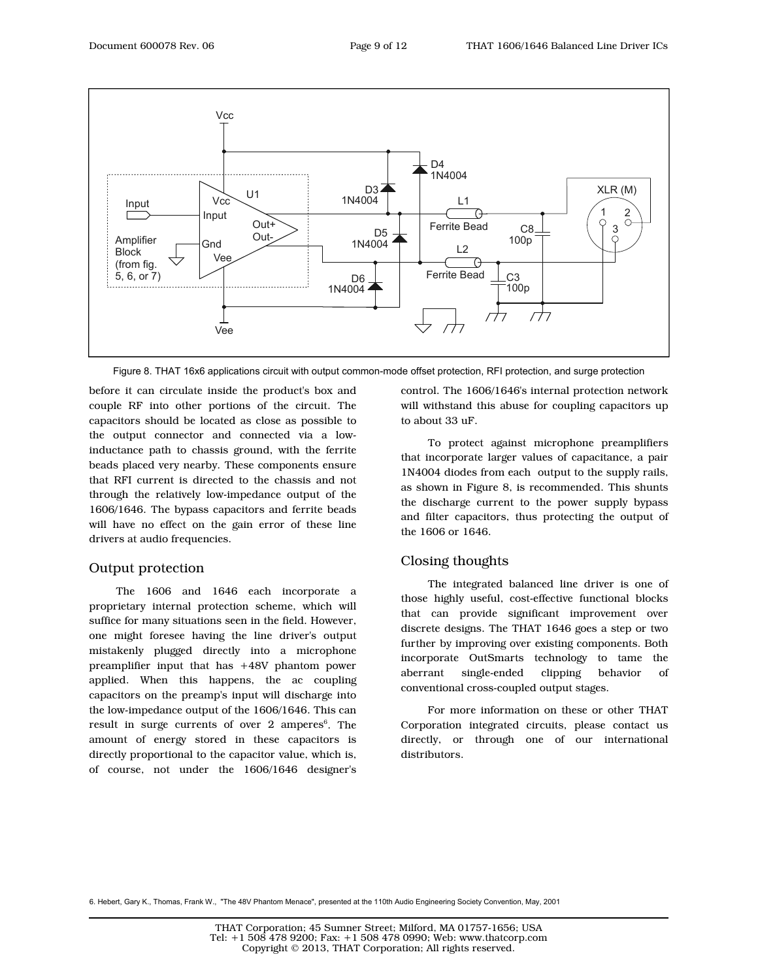

Figure 8. THAT 16x6 applications circuit with output common-mode offset protection, RFI protection, and surge protection

before it can circulate inside the product's box and couple RF into other portions of the circuit. The capacitors should be located as close as possible to the output connector and connected via a lowinductance path to chassis ground, with the ferrite beads placed very nearby. These components ensure that RFI current is directed to the chassis and not through the relatively low-impedance output of the 1606/1646. The bypass capacitors and ferrite beads will have no effect on the gain error of these line drivers at audio frequencies.

#### Output protection

The 1606 and 1646 each incorporate a proprietary internal protection scheme, which will suffice for many situations seen in the field. However, one might foresee having the line driver's output mistakenly plugged directly into a microphone preamplifier input that has +48V phantom power applied. When this happens, the ac coupling capacitors on the preamp's input will discharge into the low-impedance output of the 1606/1646. This can result in surge currents of over 2 amperes<sup>6</sup>. The amount of energy stored in these capacitors is directly proportional to the capacitor value, which is, of course, not under the 1606/1646 designer's

control. The 1606/1646's internal protection network will withstand this abuse for coupling capacitors up to about 33 uF.

To protect against microphone preamplifiers that incorporate larger values of capacitance, a pair 1N4004 diodes from each output to the supply rails, as shown in Figure 8, is recommended. This shunts the discharge current to the power supply bypass and filter capacitors, thus protecting the output of the 1606 or 1646.

### Closing thoughts

The integrated balanced line driver is one of those highly useful, cost-effective functional blocks that can provide significant improvement over discrete designs. The THAT 1646 goes a step or two further by improving over existing components. Both incorporate OutSmarts technology to tame the aberrant single-ended clipping behavior of conventional cross-coupled output stages.

For more information on these or other THAT Corporation integrated circuits, please contact us directly, or through one of our international distributors.

6. Hebert, Gary K., Thomas, Frank W., "The 48V Phantom Menace", presented at the 110th Audio Engineering Society Convention, May, 2001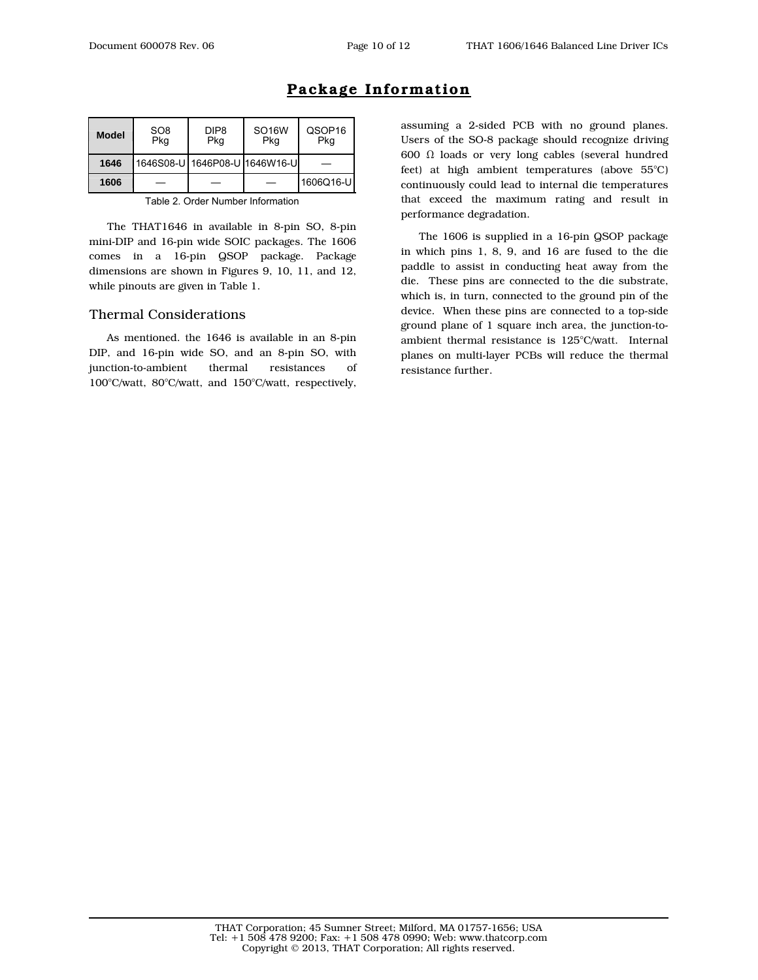| <b>Model</b> | SO <sub>8</sub><br>Pkg | DIP <sub>8</sub><br>Pkg | SO <sub>16</sub> W<br>Pkg     | QSOP <sub>16</sub><br>Pkg |
|--------------|------------------------|-------------------------|-------------------------------|---------------------------|
| 1646         |                        |                         | 1646S08-U 1646P08-U 1646W16-U |                           |
| 1606         |                        |                         |                               | 1606Q16-U                 |

## **Package Information**

Table 2. Order Number Information

The THAT1646 in available in 8-pin SO, 8-pin mini-DIP and 16-pin wide SOIC packages. The 1606 comes in a 16-pin QSOP package. Package dimensions are shown in Figures 9, 10, 11, and 12, while pinouts are given in Table 1.

#### Thermal Considerations

As mentioned. the 1646 is available in an 8-pin DIP, and 16-pin wide SO, and an 8-pin SO, with junction-to-ambient thermal resistances of 100°C/watt, 80°C/watt, and 150°C/watt, respectively,

assuming a 2-sided PCB with no ground planes. Users of the SO-8 package should recognize driving 600 Ω loads or very long cables (several hundred feet) at high ambient temperatures (above 55°C) continuously could lead to internal die temperatures that exceed the maximum rating and result in performance degradation.

The 1606 is supplied in a 16-pin QSOP package in which pins 1, 8, 9, and 16 are fused to the die paddle to assist in conducting heat away from the die. These pins are connected to the die substrate, which is, in turn, connected to the ground pin of the device. When these pins are connected to a top-side ground plane of 1 square inch area, the junction-toambient thermal resistance is 125°C/watt. Internal planes on multi-layer PCBs will reduce the thermal resistance further.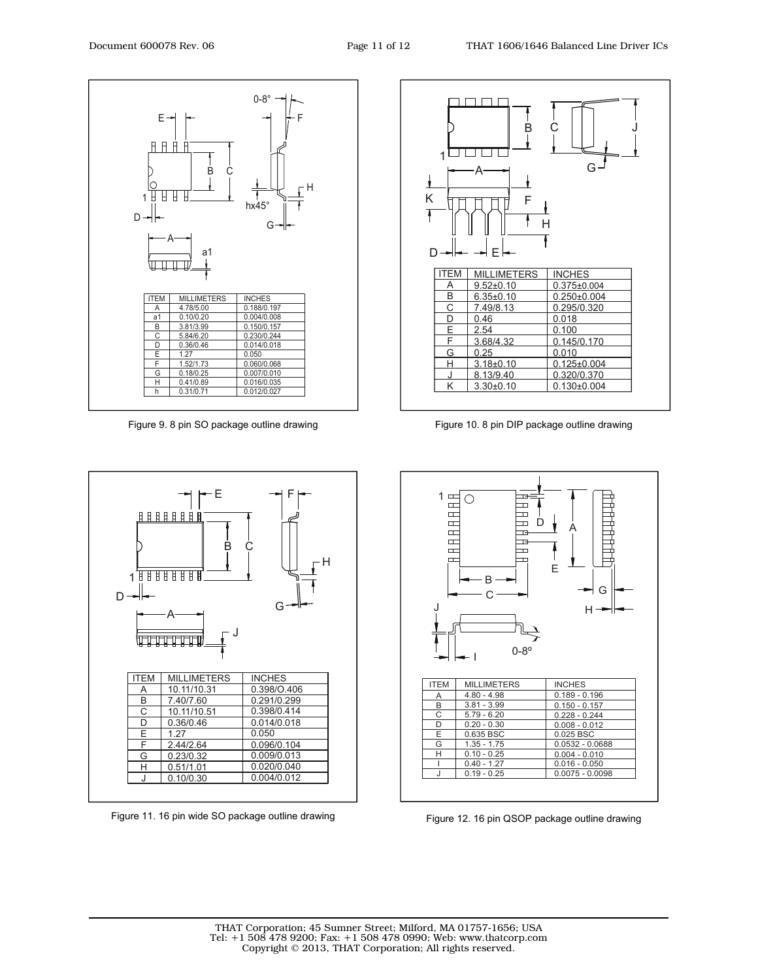

Figure 9. 8 pin SO package outline drawing Figure 10. 8 pin DIP package outline drawing



Figure 11. 16 pin wide SO package outline drawing





Figure 12. 16 pin QSOP package outline drawing